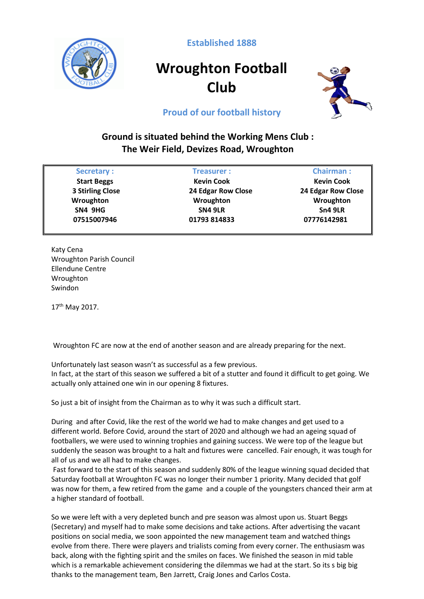

**Established 1888**

## **Wroughton Football Club**



## **Proud of our football history**

## **Ground is situated behind the Working Mens Club : The Weir Field, Devizes Road, Wroughton**

| <b>Secretary:</b>       | <b>Treasurer:</b>         | <b>Chairman:</b>   |
|-------------------------|---------------------------|--------------------|
| <b>Start Beggs</b>      | <b>Kevin Cook</b>         | <b>Kevin Cook</b>  |
| <b>3 Stirling Close</b> | <b>24 Edgar Row Close</b> | 24 Edgar Row Close |
| Wroughton               | Wroughton                 | Wroughton          |
| SN4 9HG                 | <b>SN4 9LR</b>            | Sn4 9LR            |
| 07515007946             | 01793 814833              | 07776142981        |

Katy Cena Wroughton Parish Council Ellendune Centre Wroughton Swindon

17th May 2017.

Wroughton FC are now at the end of another season and are already preparing for the next.

Unfortunately last season wasn't as successful as a few previous. In fact, at the start of this season we suffered a bit of a stutter and found it difficult to get going. We actually only attained one win in our opening 8 fixtures.

So just a bit of insight from the Chairman as to why it was such a difficult start.

During and after Covid, like the rest of the world we had to make changes and get used to a different world. Before Covid, around the start of 2020 and although we had an ageing squad of footballers, we were used to winning trophies and gaining success. We were top of the league but suddenly the season was brought to a halt and fixtures were cancelled. Fair enough, it was tough for all of us and we all had to make changes.

Fast forward to the start of this season and suddenly 80% of the league winning squad decided that Saturday football at Wroughton FC was no longer their number 1 priority. Many decided that golf was now for them, a few retired from the game and a couple of the youngsters chanced their arm at a higher standard of football.

So we were left with a very depleted bunch and pre season was almost upon us. Stuart Beggs (Secretary) and myself had to make some decisions and take actions. After advertising the vacant positions on social media, we soon appointed the new management team and watched things evolve from there. There were players and trialists coming from every corner. The enthusiasm was back, along with the fighting spirit and the smiles on faces. We finished the season in mid table which is a remarkable achievement considering the dilemmas we had at the start. So its s big big thanks to the management team, Ben Jarrett, Craig Jones and Carlos Costa.